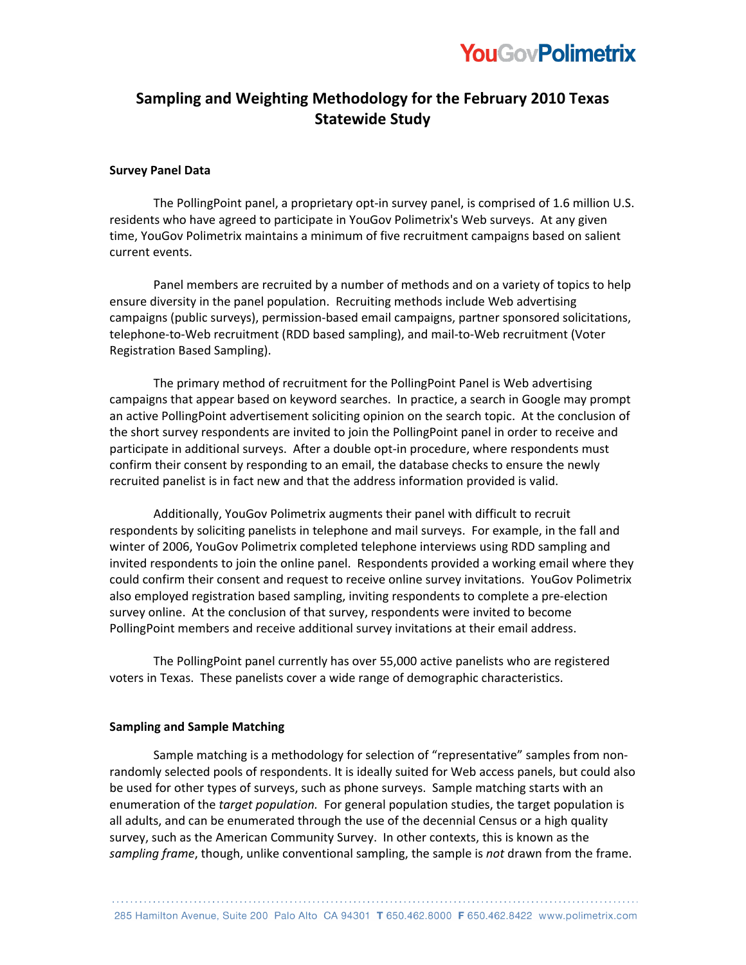

## **Sampling)and)Weighting)Methodology)for)the)February)2010 Texas) Statewide Study**

#### **Survey Panel Data**

The PollingPoint panel, a proprietary opt-in survey panel, is comprised of 1.6 million U.S. residents who have agreed to participate in YouGov Polimetrix's Web surveys. At any given time, YouGov Polimetrix maintains a minimum of five recruitment campaigns based on salient current events.

Panel members are recruited by a number of methods and on a variety of topics to help ensure diversity in the panel population. Recruiting methods include Web advertising campaigns (public surveys), permission-based email campaigns, partner sponsored solicitations, telephone-to-Web recruitment (RDD based sampling), and mail-to-Web recruitment (Voter Registration Based Sampling).

The primary method of recruitment for the PollingPoint Panel is Web advertising campaigns that appear based on keyword searches. In practice, a search in Google may prompt an active PollingPoint advertisement soliciting opinion on the search topic. At the conclusion of the short survey respondents are invited to join the PollingPoint panel in order to receive and participate in additional surveys. After a double opt-in procedure, where respondents must confirm their consent by responding to an email, the database checks to ensure the newly recruited panelist is in fact new and that the address information provided is valid.

Additionally, YouGov Polimetrix augments their panel with difficult to recruit respondents by soliciting panelists in telephone and mail surveys. For example, in the fall and winter of 2006, YouGov Polimetrix completed telephone interviews using RDD sampling and invited respondents to join the online panel. Respondents provided a working email where they could confirm their consent and request to receive online survey invitations. YouGov Polimetrix also employed registration based sampling, inviting respondents to complete a pre-election survey online. At the conclusion of that survey, respondents were invited to become PollingPoint members and receive additional survey invitations at their email address.

The PollingPoint panel currently has over 55,000 active panelists who are registered voters in Texas. These panelists cover a wide range of demographic characteristics.

#### **Sampling and Sample Matching**

Sample matching is a methodology for selection of "representative" samples from nonrandomly selected pools of respondents. It is ideally suited for Web access panels, but could also be used for other types of surveys, such as phone surveys. Sample matching starts with an enumeration of the *target population*. For general population studies, the target population is all adults, and can be enumerated through the use of the decennial Census or a high quality survey, such as the American Community Survey. In other contexts, this is known as the sampling frame, though, unlike conventional sampling, the sample is *not* drawn from the frame.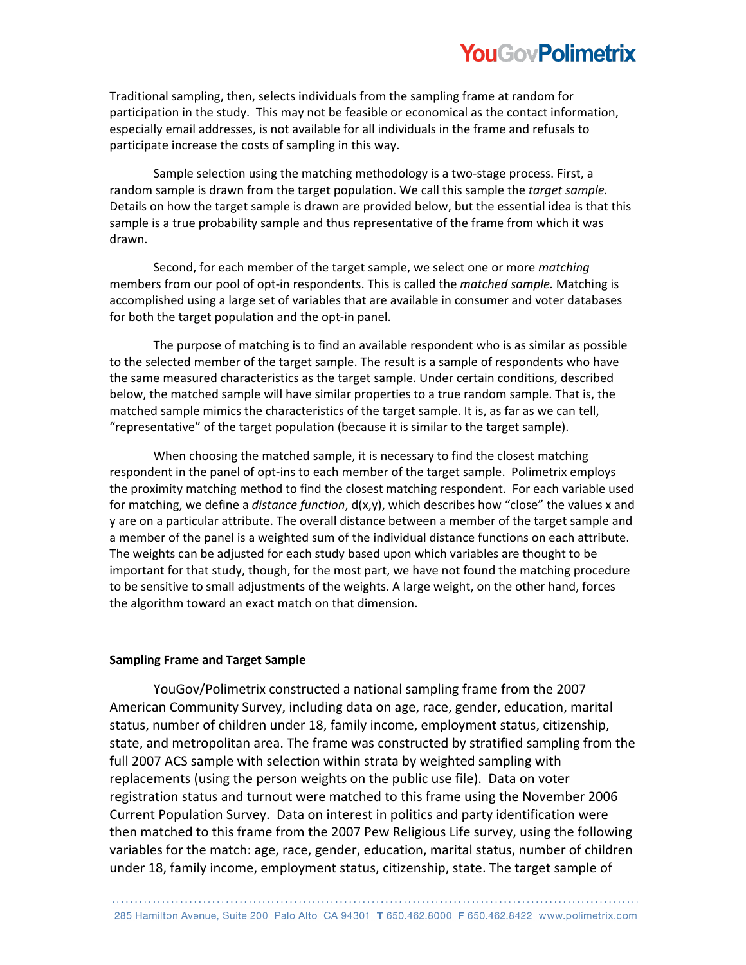# **YouGovPolimetrix**

Traditional sampling, then, selects individuals from the sampling frame at random for participation in the study. This may not be feasible or economical as the contact information, especially email addresses, is not available for all individuals in the frame and refusals to participate increase the costs of sampling in this way.

Sample selection using the matching methodology is a two-stage process. First, a random sample is drawn from the target population. We call this sample the *target sample.* Details on how the target sample is drawn are provided below, but the essential idea is that this sample is a true probability sample and thus representative of the frame from which it was drawn.

Second, for each member of the target sample, we select one or more *matching* members from our pool of opt-in respondents. This is called the *matched sample.* Matching is accomplished using a large set of variables that are available in consumer and voter databases for both the target population and the opt-in panel.

The purpose of matching is to find an available respondent who is as similar as possible to the selected member of the target sample. The result is a sample of respondents who have the same measured characteristics as the target sample. Under certain conditions, described below, the matched sample will have similar properties to a true random sample. That is, the matched sample mimics the characteristics of the target sample. It is, as far as we can tell, "representative" of the target population (because it is similar to the target sample).

When choosing the matched sample, it is necessary to find the closest matching respondent in the panel of opt-ins to each member of the target sample. Polimetrix employs the proximity matching method to find the closest matching respondent. For each variable used for matching, we define a *distance function*,  $d(x,y)$ , which describes how "close" the values x and y are on a particular attribute. The overall distance between a member of the target sample and a member of the panel is a weighted sum of the individual distance functions on each attribute. The weights can be adjusted for each study based upon which variables are thought to be important for that study, though, for the most part, we have not found the matching procedure to be sensitive to small adjustments of the weights. A large weight, on the other hand, forces the algorithm toward an exact match on that dimension.

### **Sampling Frame and Target Sample**

YouGov/Polimetrix constructed a national sampling frame from the 2007 American Community Survey, including data on age, race, gender, education, marital status, number of children under 18, family income, employment status, citizenship, state, and metropolitan area. The frame was constructed by stratified sampling from the full 2007 ACS sample with selection within strata by weighted sampling with replacements (using the person weights on the public use file). Data on voter registration status and turnout were matched to this frame using the November 2006 Current Population Survey. Data on interest in politics and party identification were then matched to this frame from the 2007 Pew Religious Life survey, using the following variables for the match: age, race, gender, education, marital status, number of children under 18, family income, employment status, citizenship, state. The target sample of